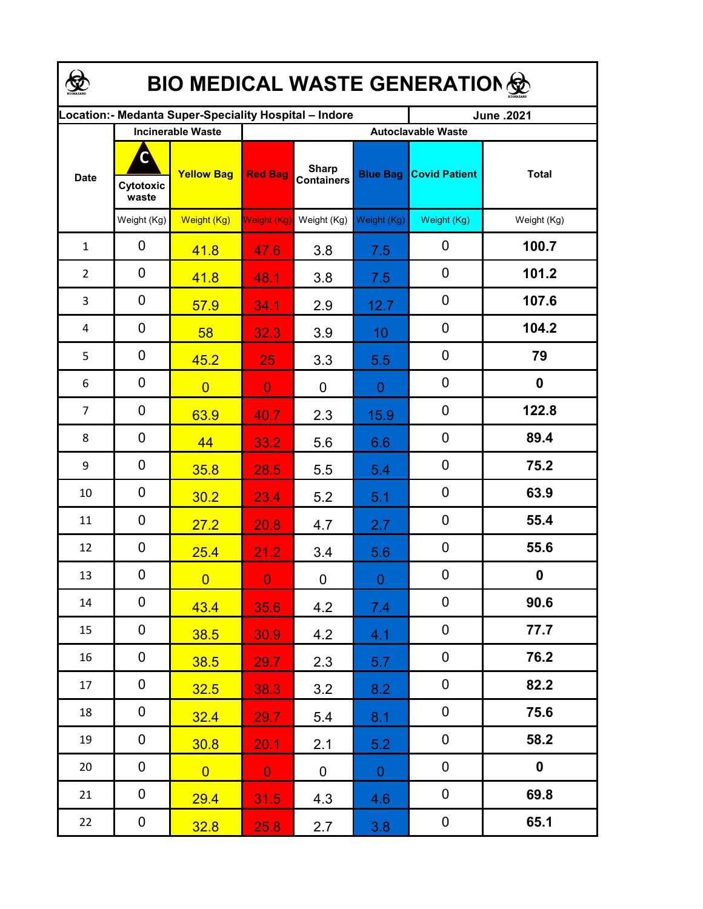| <b>BIO MEDICAL WASTE GENERATION </b> |                          |                                                       |                           |                                   |                 |                      |              |  |  |  |
|--------------------------------------|--------------------------|-------------------------------------------------------|---------------------------|-----------------------------------|-----------------|----------------------|--------------|--|--|--|
|                                      |                          | ocation: - Medanta Super-Speciality Hospital - Indore |                           |                                   |                 | June .2021           |              |  |  |  |
|                                      | <b>Incinerable Waste</b> |                                                       | <b>Autoclavable Waste</b> |                                   |                 |                      |              |  |  |  |
| <b>Date</b>                          | C<br>Cytotoxic<br>waste  | <b>Yellow Bag</b>                                     | <b>Red Bag</b>            | <b>Sharp</b><br><b>Containers</b> | <b>Blue Bag</b> | <b>Covid Patient</b> | <b>Total</b> |  |  |  |
|                                      | Weight (Kg)              | Weight (Kg)                                           | Weight (Kg)               | Weight (Kg)                       | Weight (Kg)     | Weight (Kg)          | Weight (Kg)  |  |  |  |
| $\mathbf{1}$                         | 0                        | 41.8                                                  | 47.6                      | 3.8                               | 7.5             | $\mathbf 0$          | 100.7        |  |  |  |
| $\overline{2}$                       | 0                        | 41.8                                                  | 48.1                      | 3.8                               | 7.5             | 0                    | 101.2        |  |  |  |
| 3                                    | 0                        | 57.9                                                  | 34.1                      | 2.9                               | 12.7            | $\boldsymbol{0}$     | 107.6        |  |  |  |
| 4                                    | 0                        | 58                                                    | 32.3                      | 3.9                               | 10              | 0                    | 104.2        |  |  |  |
| 5                                    | 0                        | 45.2                                                  | 25                        | 3.3                               | 5.5             | 0                    | 79           |  |  |  |
| 6                                    | 0                        | $\overline{0}$                                        | $\overline{0}$            | $\overline{0}$                    | $\overline{0}$  | $\mathbf 0$          | 0            |  |  |  |
| 7                                    | 0                        | 63.9                                                  | 40.7                      | 2.3                               | 15.9            | $\mathbf 0$          | 122.8        |  |  |  |
| 8                                    | 0                        | 44                                                    | 33.2                      | 5.6                               | 6.6             | $\mathbf 0$          | 89.4         |  |  |  |
| 9                                    | 0                        | 35.8                                                  | 28.5                      | 5.5                               | 5.4             | $\mathbf 0$          | 75.2         |  |  |  |
| 10                                   | 0                        | 30.2                                                  | 23.4                      | 5.2                               | 5.1             | $\mathbf 0$          | 63.9         |  |  |  |
| 11                                   | 0                        | 27.2                                                  | 20.8                      | 4.7                               | 2.7             | $\mathbf 0$          | 55.4         |  |  |  |
| 12                                   | 0                        | 25.4                                                  | 21.2                      | 3.4                               | 5.6             | $\mathbf 0$          | 55.6         |  |  |  |
| 13                                   | 0                        | $\overline{0}$                                        | $\mathbf{0}$              | $\mathbf 0$                       | $\mathbf{0}$    | 0                    | 0            |  |  |  |
| 14                                   | 0                        | 43.4                                                  | 35.6                      | 4.2                               | 7.4             | $\mathbf 0$          | 90.6         |  |  |  |
| 15                                   | 0                        | 38.5                                                  | 30.9                      | 4.2                               | 4.1             | $\mathbf 0$          | 77.7         |  |  |  |
| 16                                   | $\mathbf 0$              | 38.5                                                  | 29.7                      | 2.3                               | 5.7             | $\pmb{0}$            | 76.2         |  |  |  |
| 17                                   | $\mathbf 0$              | 32.5                                                  | 38.3                      | 3.2                               | 8.2             | $\pmb{0}$            | 82.2         |  |  |  |
| 18                                   | $\mathbf 0$              | 32.4                                                  | 29.7                      | 5.4                               | 8.1             | $\pmb{0}$            | 75.6         |  |  |  |
| 19                                   | $\mathbf 0$              | 30.8                                                  | 20.1                      | 2.1                               | 5.2             | $\pmb{0}$            | 58.2         |  |  |  |
| 20                                   | $\overline{0}$           | $\overline{0}$                                        | $\mathbf{0}$              | $\mathbf 0$                       | $\overline{0}$  | $\pmb{0}$            | $\mathbf 0$  |  |  |  |
| 21                                   | $\mathbf 0$              | 29.4                                                  | 31.5                      | 4.3                               | 4.6             | $\pmb{0}$            | 69.8         |  |  |  |
| 22                                   | $\mathbf 0$              | 32.8                                                  | 25.8                      | 2.7                               | 3.8             | $\pmb{0}$            | 65.1         |  |  |  |